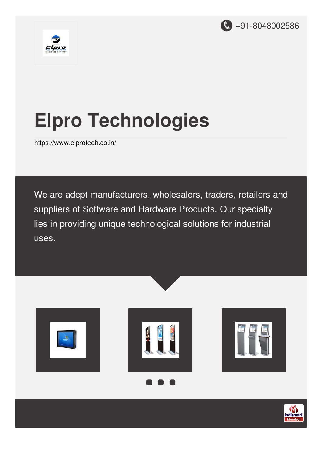



# **Elpro Technologies**

<https://www.elprotech.co.in/>

We are adept manufacturers, wholesalers, traders, retailers and suppliers of Software and Hardware Products. Our specialty lies in providing unique technological solutions for industrial uses.







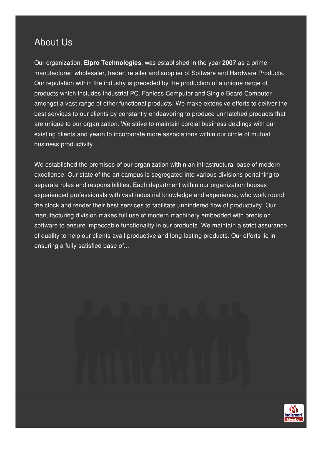# About Us

Our organization, **Elpro Technologies**, was established in the year **2007** as a prime manufacturer, wholesaler, trader, retailer and supplier of Software and Hardware Products. Our reputation within the industry is preceded by the production of a unique range of products which includes Industrial PC, Fanless Computer and Single Board Computer amongst a vast range of other functional products. We make extensive efforts to deliver the best services to our clients by constantly endeavoring to produce unmatched products that are unique to our organization. We strive to maintain cordial business dealings with our existing clients and yearn to incorporate more associations within our circle of mutual business productivity.

We established the premises of our organization within an infrastructural base of modern excellence. Our state of the art campus is segregated into various divisions pertaining to separate roles and responsibilities. Each department within our organization houses experienced professionals with vast industrial knowledge and experience, who work round the clock and render their best services to facilitate unhindered flow of productivity. Our manufacturing division makes full use of modern machinery embedded with precision software to ensure impeccable functionality in our products. We maintain a strict assurance of quality to help our clients avail productive and long lasting products. Our efforts lie in ensuring a fully satisfied base of...

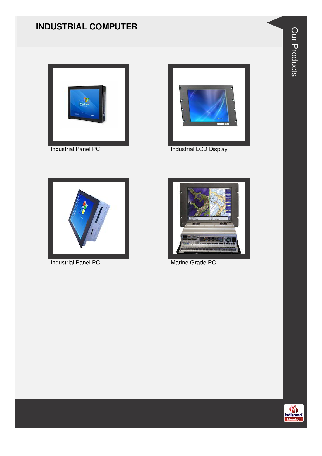#### **INDUSTRIAL COMPUTER**





Industrial Panel PC **Industrial LCD** Display



Industrial Panel PC Marine Grade PC





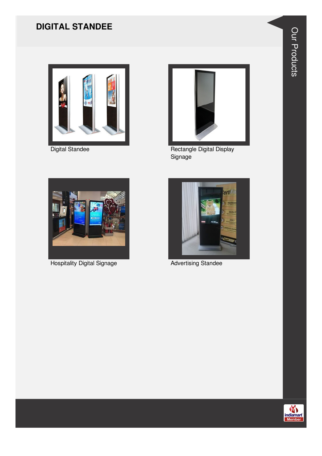## **DIGITAL STANDEE**



Digital Standee



Rectangle Digital Display Signage



**Hospitality Digital Signage** 



**Advertising Standee** 

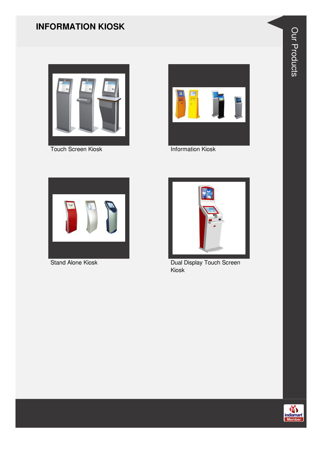#### **INFORMATION KIOSK**



Touch Screen Kiosk **Information Kiosk** 







Stand Alone Kiosk Dual Display Touch Screen Kiosk



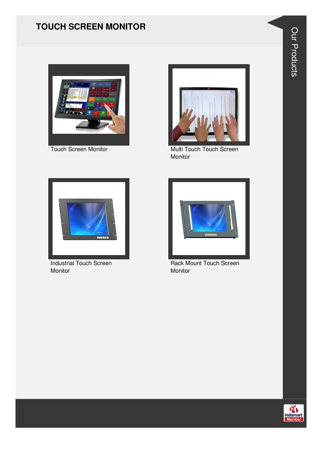### **TOUCH SCREEN MONITOR**





Touch Screen Monitor Multi Touch Touch Screen Monitor



Industrial Touch Screen Monitor



Rack Mount Touch Screen Monitor

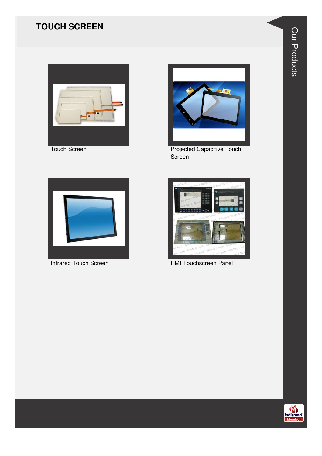## **TOUCH SCREEN**



**Touch Screen** 



**Projected Capacitive Touch** Screen



**Infrared Touch Screen** 



HMI Touchscreen Panel

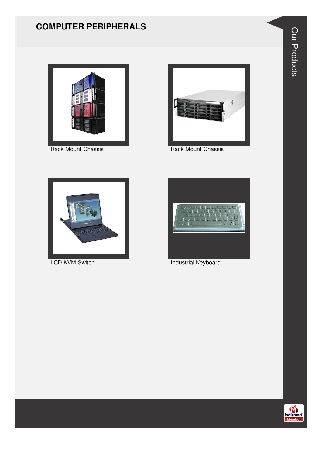#### **COMPUTER PERIPHERALS**





Rack Mount Chassis **Rack Mount Chassis** Rack Mount Chassis





LCD KVM Switch **Industrial Keyboard** 



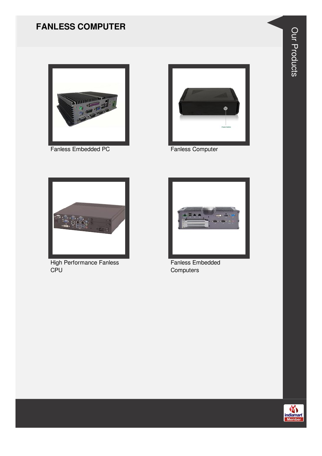#### **FANLESS COMPUTER**



Fanless Embedded PC



**Fanless Computer** 



**High Performance Fanless** CPU



Fanless Embedded Computers

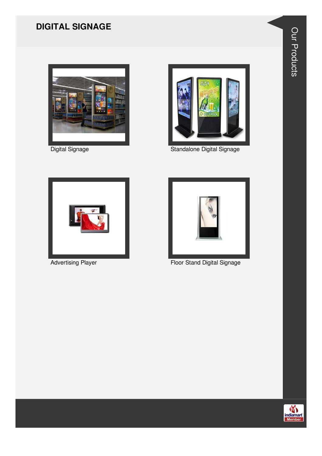## **DIGITAL SIGNAGE**



Digital Signage



Standalone Digital Signage



**Advertising Player** 



Floor Stand Digital Signage



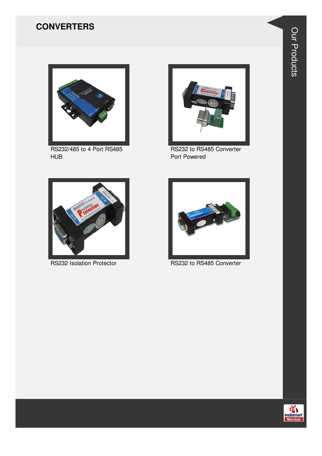#### **CONVERTERS**



RS232/485 to 4 Port RS485 HUB



RS232 to RS485 Converter Port Powered





RS232 Isolation Protector RS232 to RS485 Converter

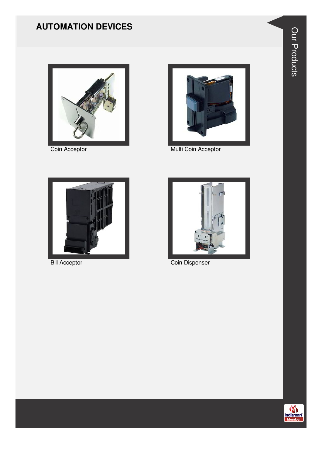## **AUTOMATION DEVICES**



Coin Acceptor



Multi Coin Acceptor



**Bill Acceptor** 



Coin Dispenser

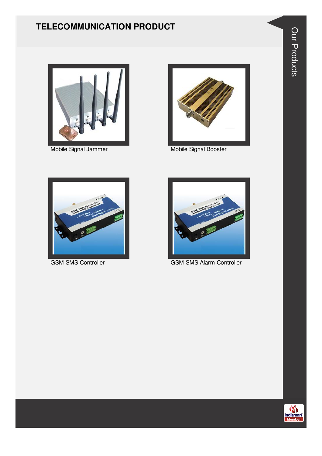#### **TELECOMMUNICATION PRODUCT**



Mobile Signal Jammer Mobile Signal Booster







GSM SMS Controller GSM SMS Alarm Controller



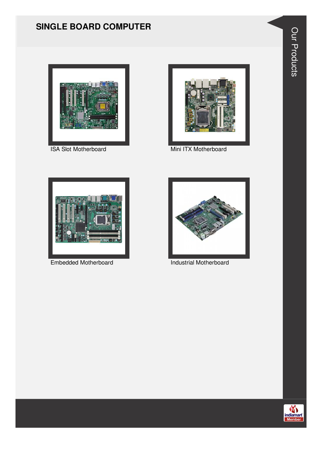#### **SINGLE BOARD COMPUTER**



**ISA Slot Motherboard** 



Mini ITX Motherboard



Embedded Motherboard



**Industrial Motherboard** 



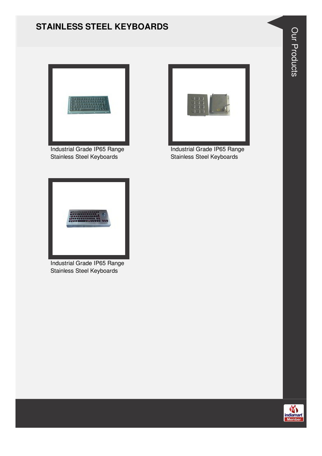#### **STAINLESS STEEL KEYBOARDS**



Industrial Grade IP65 Range Stainless Steel Keyboards



Industrial Grade IP65 Range Stainless Steel Keyboards



Industrial Grade IP65 Range Stainless Steel Keyboards

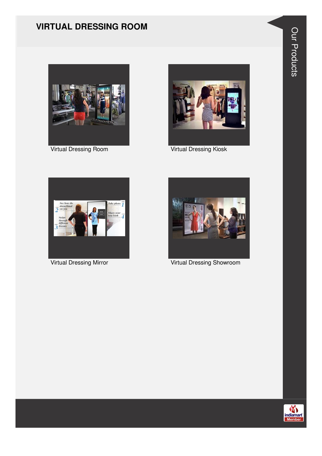#### **VIRTUAL DRESSING ROOM**





Virtual Dressing Room Virtual Dressing Kiosk





Virtual Dressing Mirror Virtual Dressing Showroom



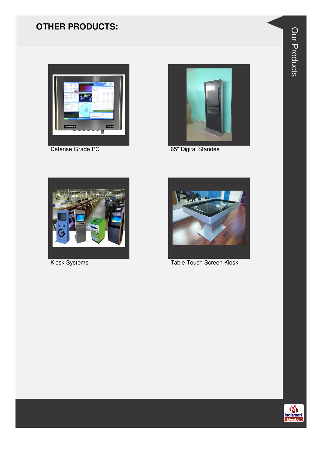## **OTHER PRODUCTS:**



Defense Grade PC



65" Digital Standee



Kiosk Systems



Table Touch Screen Kiosk

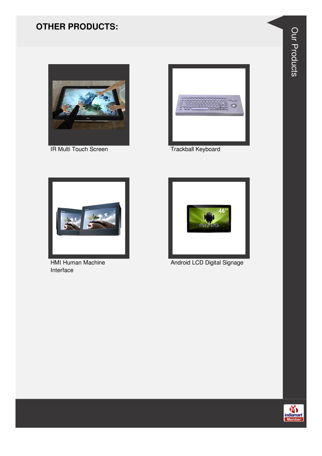#### **OTHER PRODUCTS:**



**IR Multi Touch Screen** 



**Trackball Keyboard** 



**HMI Human Machine** Interface



Android LCD Digital Signage



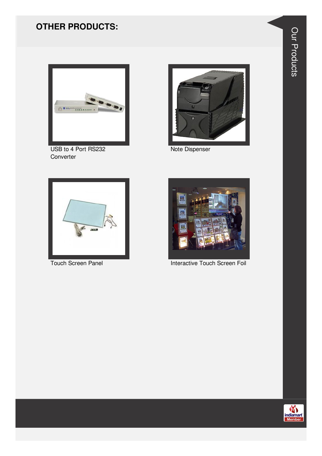## **OTHER PRODUCTS:**



USB to 4 Port RS232 Converter



Note Dispenser



**Touch Screen Panel** 



**Interactive Touch Screen Foil** 



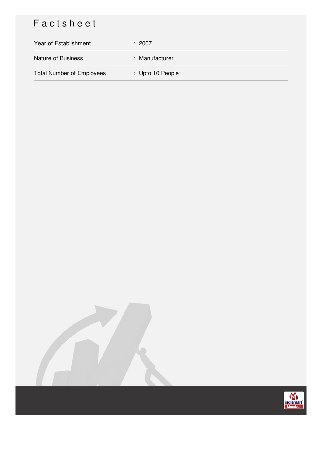# Factsheet

| Year of Establishment            | : 2007           |
|----------------------------------|------------------|
| <b>Nature of Business</b>        | : Manufacturer   |
| <b>Total Number of Employees</b> | : Upto 10 People |